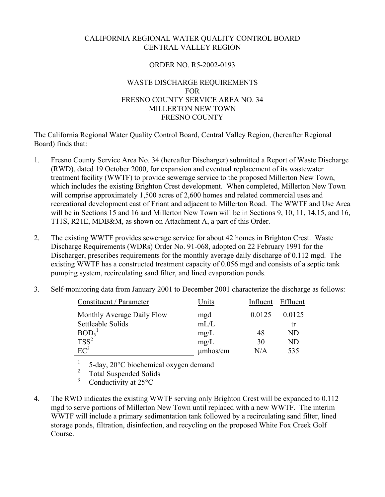## CALIFORNIA REGIONAL WATER QUALITY CONTROL BOARD CENTRAL VALLEY REGION

## ORDER NO. R5-2002-0193

## WASTE DISCHARGE REQUIREMENTS FOR FRESNO COUNTY SERVICE AREA NO. 34 MILLERTON NEW TOWN FRESNO COUNTY

The California Regional Water Quality Control Board, Central Valley Region, (hereafter Regional Board) finds that:

- 1. Fresno County Service Area No. 34 (hereafter Discharger) submitted a Report of Waste Discharge (RWD), dated 19 October 2000, for expansion and eventual replacement of its wastewater treatment facility (WWTF) to provide sewerage service to the proposed Millerton New Town, which includes the existing Brighton Crest development. When completed, Millerton New Town will comprise approximately 1,500 acres of 2,600 homes and related commercial uses and recreational development east of Friant and adjacent to Millerton Road. The WWTF and Use Area will be in Sections 15 and 16 and Millerton New Town will be in Sections 9, 10, 11, 14, 15, and 16, T11S, R21E, MDB&M, as shown on Attachment A, a part of this Order.
- 2. The existing WWTF provides sewerage service for about 42 homes in Brighton Crest. Waste Discharge Requirements (WDRs) Order No. 91-068, adopted on 22 February 1991 for the Discharger, prescribes requirements for the monthly average daily discharge of 0.112 mgd. The existing WWTF has a constructed treatment capacity of 0.056 mgd and consists of a septic tank pumping system, recirculating sand filter, and lined evaporation ponds.
- 3. Self-monitoring data from January 2001 to December 2001 characterize the discharge as follows:

| Constituent / Parameter       | Units         | Influent | Effluent |
|-------------------------------|---------------|----------|----------|
| Monthly Average Daily Flow    | mgd           | 0.0125   | 0.0125   |
| Settleable Solids             | mL/L          |          | tr       |
| BOD <sub>5</sub> <sup>1</sup> | mg/L          | 48       | ND       |
| $TSS^2$                       | mg/L          | 30       | ND       |
| $EC^3$                        | $\mu$ mhos/cm | N/A      | 535      |

 $\frac{1}{2}$  5-day, 20 $^{\circ}$ C biochemical oxygen demand

 $\frac{2}{3}$  Total Suspended Solids

- Conductivity at 25°C
- 4. The RWD indicates the existing WWTF serving only Brighton Crest will be expanded to 0.112 mgd to serve portions of Millerton New Town until replaced with a new WWTF. The interim WWTF will include a primary sedimentation tank followed by a recirculating sand filter, lined storage ponds, filtration, disinfection, and recycling on the proposed White Fox Creek Golf Course.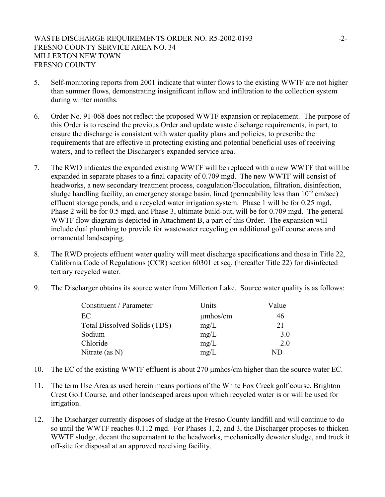- 5. Self-monitoring reports from 2001 indicate that winter flows to the existing WWTF are not higher than summer flows, demonstrating insignificant inflow and infiltration to the collection system during winter months.
- 6. Order No. 91-068 does not reflect the proposed WWTF expansion or replacement. The purpose of this Order is to rescind the previous Order and update waste discharge requirements, in part, to ensure the discharge is consistent with water quality plans and policies, to prescribe the requirements that are effective in protecting existing and potential beneficial uses of receiving waters, and to reflect the Discharger's expanded service area.
- 7. The RWD indicates the expanded existing WWTF will be replaced with a new WWTF that will be expanded in separate phases to a final capacity of 0.709 mgd. The new WWTF will consist of headworks, a new secondary treatment process, coagulation/flocculation, filtration, disinfection, sludge handling facility, an emergency storage basin, lined (permeability less than  $10^{-6}$  cm/sec) effluent storage ponds, and a recycled water irrigation system. Phase 1 will be for 0.25 mgd, Phase 2 will be for 0.5 mgd, and Phase 3, ultimate build-out, will be for 0.709 mgd. The general WWTF flow diagram is depicted in Attachment B, a part of this Order. The expansion will include dual plumbing to provide for wastewater recycling on additional golf course areas and ornamental landscaping.
- 8. The RWD projects effluent water quality will meet discharge specifications and those in Title 22, California Code of Regulations (CCR) section 60301 et seq. (hereafter Title 22) for disinfected tertiary recycled water.
- 9. The Discharger obtains its source water from Millerton Lake. Source water quality is as follows:

| Constituent / Parameter      | Units         | Value |  |
|------------------------------|---------------|-------|--|
| EC                           | $\mu$ mhos/cm | 46    |  |
| Total Dissolved Solids (TDS) | mg/L          | 21    |  |
| Sodium                       | mg/L          | 3.0   |  |
| Chloride                     | mg/L          | 2.0   |  |
| Nitrate (as N)               | mg/L          | ND    |  |

- 10. The EC of the existing WWTF effluent is about 270 µmhos/cm higher than the source water EC.
- 11. The term Use Area as used herein means portions of the White Fox Creek golf course, Brighton Crest Golf Course, and other landscaped areas upon which recycled water is or will be used for irrigation.
- 12. The Discharger currently disposes of sludge at the Fresno County landfill and will continue to do so until the WWTF reaches 0.112 mgd. For Phases 1, 2, and 3, the Discharger proposes to thicken WWTF sludge, decant the supernatant to the headworks, mechanically dewater sludge, and truck it off-site for disposal at an approved receiving facility.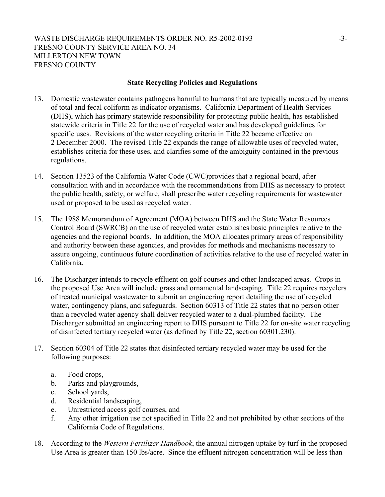## **State Recycling Policies and Regulations**

- 13. Domestic wastewater contains pathogens harmful to humans that are typically measured by means of total and fecal coliform as indicator organisms. California Department of Health Services (DHS), which has primary statewide responsibility for protecting public health, has established statewide criteria in Title 22 for the use of recycled water and has developed guidelines for specific uses. Revisions of the water recycling criteria in Title 22 became effective on 2 December 2000. The revised Title 22 expands the range of allowable uses of recycled water, establishes criteria for these uses, and clarifies some of the ambiguity contained in the previous regulations.
- 14. Section 13523 of the California Water Code (CWC)provides that a regional board, after consultation with and in accordance with the recommendations from DHS as necessary to protect the public health, safety, or welfare, shall prescribe water recycling requirements for wastewater used or proposed to be used as recycled water.
- 15. The 1988 Memorandum of Agreement (MOA) between DHS and the State Water Resources Control Board (SWRCB) on the use of recycled water establishes basic principles relative to the agencies and the regional boards. In addition, the MOA allocates primary areas of responsibility and authority between these agencies, and provides for methods and mechanisms necessary to assure ongoing, continuous future coordination of activities relative to the use of recycled water in California.
- 16. The Discharger intends to recycle effluent on golf courses and other landscaped areas. Crops in the proposed Use Area will include grass and ornamental landscaping. Title 22 requires recyclers of treated municipal wastewater to submit an engineering report detailing the use of recycled water, contingency plans, and safeguards. Section 60313 of Title 22 states that no person other than a recycled water agency shall deliver recycled water to a dual-plumbed facility. The Discharger submitted an engineering report to DHS pursuant to Title 22 for on-site water recycling of disinfected tertiary recycled water (as defined by Title 22, section 60301.230).
- 17. Section 60304 of Title 22 states that disinfected tertiary recycled water may be used for the following purposes:
	- a. Food crops,
	- b. Parks and playgrounds,
	- c. School yards,
	- d. Residential landscaping,
	- e. Unrestricted access golf courses, and
	- f. Any other irrigation use not specified in Title 22 and not prohibited by other sections of the California Code of Regulations.
- 18. According to the *Western Fertilizer Handbook*, the annual nitrogen uptake by turf in the proposed Use Area is greater than 150 lbs/acre. Since the effluent nitrogen concentration will be less than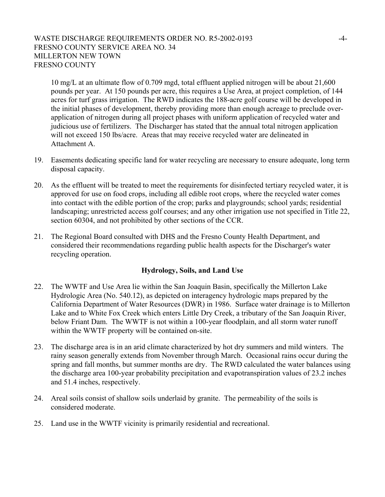## WASTE DISCHARGE REQUIREMENTS ORDER NO. R5-2002-0193 -4-FRESNO COUNTY SERVICE AREA NO. 34 MILLERTON NEW TOWN FRESNO COUNTY

10 mg/L at an ultimate flow of 0.709 mgd, total effluent applied nitrogen will be about 21,600 pounds per year. At 150 pounds per acre, this requires a Use Area, at project completion, of 144 acres for turf grass irrigation. The RWD indicates the 188-acre golf course will be developed in the initial phases of development, thereby providing more than enough acreage to preclude overapplication of nitrogen during all project phases with uniform application of recycled water and judicious use of fertilizers. The Discharger has stated that the annual total nitrogen application will not exceed 150 lbs/acre. Areas that may receive recycled water are delineated in Attachment A.

- 19. Easements dedicating specific land for water recycling are necessary to ensure adequate, long term disposal capacity.
- 20. As the effluent will be treated to meet the requirements for disinfected tertiary recycled water, it is approved for use on food crops, including all edible root crops, where the recycled water comes into contact with the edible portion of the crop; parks and playgrounds; school yards; residential landscaping; unrestricted access golf courses; and any other irrigation use not specified in Title 22, section 60304, and not prohibited by other sections of the CCR.
- 21. The Regional Board consulted with DHS and the Fresno County Health Department, and considered their recommendations regarding public health aspects for the Discharger's water recycling operation.

#### **Hydrology, Soils, and Land Use**

- 22. The WWTF and Use Area lie within the San Joaquin Basin, specifically the Millerton Lake Hydrologic Area (No. 540.12), as depicted on interagency hydrologic maps prepared by the California Department of Water Resources (DWR) in 1986. Surface water drainage is to Millerton Lake and to White Fox Creek which enters Little Dry Creek, a tributary of the San Joaquin River, below Friant Dam. The WWTF is not within a 100-year floodplain, and all storm water runoff within the WWTF property will be contained on-site.
- 23. The discharge area is in an arid climate characterized by hot dry summers and mild winters. The rainy season generally extends from November through March. Occasional rains occur during the spring and fall months, but summer months are dry. The RWD calculated the water balances using the discharge area 100-year probability precipitation and evapotranspiration values of 23.2 inches and 51.4 inches, respectively.
- 24. Areal soils consist of shallow soils underlaid by granite. The permeability of the soils is considered moderate.
- 25. Land use in the WWTF vicinity is primarily residential and recreational.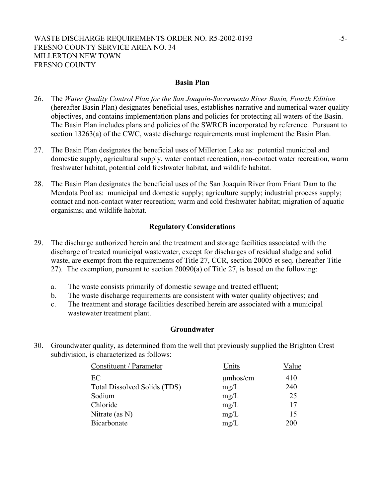#### **Basin Plan**

- 26. The *Water Quality Control Plan for the San Joaquin-Sacramento River Basin, Fourth Edition* (hereafter Basin Plan) designates beneficial uses, establishes narrative and numerical water quality objectives, and contains implementation plans and policies for protecting all waters of the Basin. The Basin Plan includes plans and policies of the SWRCB incorporated by reference. Pursuant to section 13263(a) of the CWC, waste discharge requirements must implement the Basin Plan.
- 27. The Basin Plan designates the beneficial uses of Millerton Lake as: potential municipal and domestic supply, agricultural supply, water contact recreation, non-contact water recreation, warm freshwater habitat, potential cold freshwater habitat, and wildlife habitat.
- 28. The Basin Plan designates the beneficial uses of the San Joaquin River from Friant Dam to the Mendota Pool as: municipal and domestic supply; agriculture supply; industrial process supply; contact and non-contact water recreation; warm and cold freshwater habitat; migration of aquatic organisms; and wildlife habitat.

#### **Regulatory Considerations**

- 29. The discharge authorized herein and the treatment and storage facilities associated with the discharge of treated municipal wastewater, except for discharges of residual sludge and solid waste, are exempt from the requirements of Title 27, CCR, section 20005 et seq. (hereafter Title 27). The exemption, pursuant to section 20090(a) of Title 27, is based on the following:
	- a. The waste consists primarily of domestic sewage and treated effluent;
	- b. The waste discharge requirements are consistent with water quality objectives; and
	- c. The treatment and storage facilities described herein are associated with a municipal wastewater treatment plant.

#### **Groundwater**

30. Groundwater quality, as determined from the well that previously supplied the Brighton Crest subdivision, is characterized as follows:

| Constituent / Parameter             | Units         | Value |
|-------------------------------------|---------------|-------|
| EC                                  | $\mu$ mhos/cm | 410   |
| <b>Total Dissolved Solids (TDS)</b> | mg/L          | 240   |
| Sodium                              | mg/L          | 25    |
| Chloride                            | mg/L          | 17    |
| Nitrate (as $N$ )                   | mg/L          | 15    |
| Bicarbonate                         | mg/L          | 200   |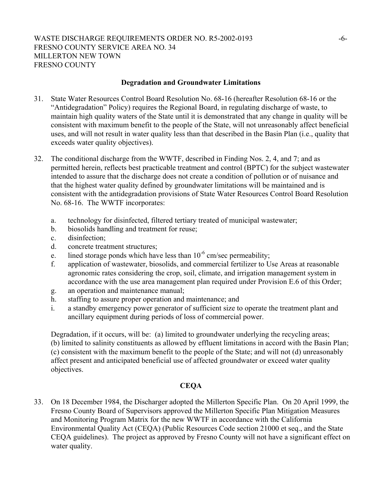### **Degradation and Groundwater Limitations**

- 31. State Water Resources Control Board Resolution No. 68-16 (hereafter Resolution 68-16 or the "Antidegradation" Policy) requires the Regional Board, in regulating discharge of waste, to maintain high quality waters of the State until it is demonstrated that any change in quality will be consistent with maximum benefit to the people of the State, will not unreasonably affect beneficial uses, and will not result in water quality less than that described in the Basin Plan (i.e., quality that exceeds water quality objectives).
- 32. The conditional discharge from the WWTF, described in Finding Nos. 2, 4, and 7; and as permitted herein, reflects best practicable treatment and control (BPTC) for the subject wastewater intended to assure that the discharge does not create a condition of pollution or of nuisance and that the highest water quality defined by groundwater limitations will be maintained and is consistent with the antidegradation provisions of State Water Resources Control Board Resolution No. 68-16. The WWTF incorporates:
	- a. technology for disinfected, filtered tertiary treated of municipal wastewater;
	- b. biosolids handling and treatment for reuse;
	- c. disinfection;
	- d. concrete treatment structures;
	- e. lined storage ponds which have less than  $10^{-6}$  cm/sec permeability;
	- f. application of wastewater, biosolids, and commercial fertilizer to Use Areas at reasonable agronomic rates considering the crop, soil, climate, and irrigation management system in accordance with the use area management plan required under Provision E.6 of this Order;
	- g. an operation and maintenance manual;
	- h. staffing to assure proper operation and maintenance; and
	- i. a standby emergency power generator of sufficient size to operate the treatment plant and ancillary equipment during periods of loss of commercial power.

Degradation, if it occurs, will be: (a) limited to groundwater underlying the recycling areas; (b) limited to salinity constituents as allowed by effluent limitations in accord with the Basin Plan; (c) consistent with the maximum benefit to the people of the State; and will not (d) unreasonably affect present and anticipated beneficial use of affected groundwater or exceed water quality objectives.

## **CEQA**

33. On 18 December 1984, the Discharger adopted the Millerton Specific Plan. On 20 April 1999, the Fresno County Board of Supervisors approved the Millerton Specific Plan Mitigation Measures and Monitoring Program Matrix for the new WWTF in accordance with the California Environmental Quality Act (CEQA) (Public Resources Code section 21000 et seq., and the State CEQA guidelines). The project as approved by Fresno County will not have a significant effect on water quality.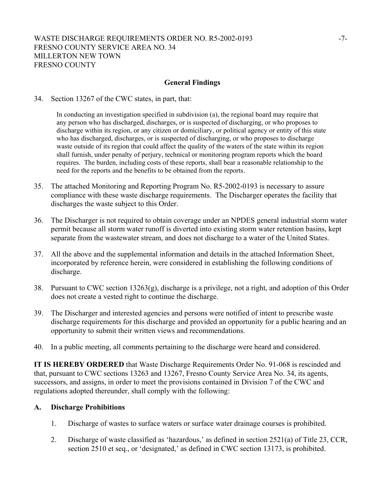## WASTE DISCHARGE REQUIREMENTS ORDER NO. R5-2002-0193 -7-FRESNO COUNTY SERVICE AREA NO. 34 MILLERTON NEW TOWN FRESNO COUNTY

#### **General Findings**

34. Section 13267 of the CWC states, in part, that:

In conducting an investigation specified in subdivision (a), the regional board may require that any person who has discharged, discharges, or is suspected of discharging, or who proposes to discharge within its region, or any citizen or domiciliary, or political agency or entity of this state who has discharged, discharges, or is suspected of discharging, or who proposes to discharge waste outside of its region that could affect the quality of the waters of the state within its region shall furnish, under penalty of perjury, technical or monitoring program reports which the board requires. The burden, including costs of these reports, shall bear a reasonable relationship to the need for the reports and the benefits to be obtained from the reports.

- 35. The attached Monitoring and Reporting Program No. R5-2002-0193 is necessary to assure compliance with these waste discharge requirements. The Discharger operates the facility that discharges the waste subject to this Order.
- 36. The Discharger is not required to obtain coverage under an NPDES general industrial storm water permit because all storm water runoff is diverted into existing storm water retention basins, kept separate from the wastewater stream, and does not discharge to a water of the United States.
- 37. All the above and the supplemental information and details in the attached Information Sheet, incorporated by reference herein, were considered in establishing the following conditions of discharge.
- 38. Pursuant to CWC section 13263(g), discharge is a privilege, not a right, and adoption of this Order does not create a vested right to continue the discharge.
- 39. The Discharger and interested agencies and persons were notified of intent to prescribe waste discharge requirements for this discharge and provided an opportunity for a public hearing and an opportunity to submit their written views and recommendations.
- 40. In a public meeting, all comments pertaining to the discharge were heard and considered.

**IT IS HEREBY ORDERED** that Waste Discharge Requirements Order No. 91-068 is rescinded and that, pursuant to CWC sections 13263 and 13267, Fresno County Service Area No. 34, its agents, successors, and assigns, in order to meet the provisions contained in Division 7 of the CWC and regulations adopted thereunder, shall comply with the following:

#### **A. Discharge Prohibitions**

- 1. Discharge of wastes to surface waters or surface water drainage courses is prohibited.
- 2. Discharge of waste classified as 'hazardous,' as defined in section 2521(a) of Title 23, CCR, section 2510 et seq., or 'designated,' as defined in CWC section 13173, is prohibited.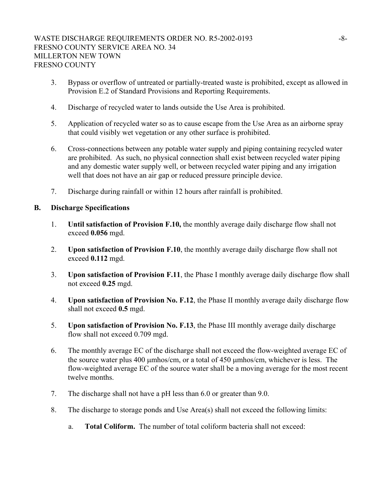- 3. Bypass or overflow of untreated or partially-treated waste is prohibited, except as allowed in Provision E.2 of Standard Provisions and Reporting Requirements.
- 4. Discharge of recycled water to lands outside the Use Area is prohibited.
- 5. Application of recycled water so as to cause escape from the Use Area as an airborne spray that could visibly wet vegetation or any other surface is prohibited.
- 6. Cross-connections between any potable water supply and piping containing recycled water are prohibited. As such, no physical connection shall exist between recycled water piping and any domestic water supply well, or between recycled water piping and any irrigation well that does not have an air gap or reduced pressure principle device.
- 7. Discharge during rainfall or within 12 hours after rainfall is prohibited.

#### **B. Discharge Specifications**

- 1. **Until satisfaction of Provision F.10,** the monthly average daily discharge flow shall not exceed **0.056** mgd.
- 2. **Upon satisfaction of Provision F.10**, the monthly average daily discharge flow shall not exceed **0.112** mgd.
- 3. **Upon satisfaction of Provision F.11**, the Phase I monthly average daily discharge flow shall not exceed **0.25** mgd.
- 4. **Upon satisfaction of Provision No. F.12**, the Phase II monthly average daily discharge flow shall not exceed **0.5** mgd.
- 5. **Upon satisfaction of Provision No. F.13**, the Phase III monthly average daily discharge flow shall not exceed 0.709 mgd.
- 6. The monthly average EC of the discharge shall not exceed the flow-weighted average EC of the source water plus 400 µmhos/cm, or a total of 450 µmhos/cm, whichever is less. The flow-weighted average EC of the source water shall be a moving average for the most recent twelve months.
- 7. The discharge shall not have a pH less than 6.0 or greater than 9.0.
- 8. The discharge to storage ponds and Use Area(s) shall not exceed the following limits:
	- a. **Total Coliform.** The number of total coliform bacteria shall not exceed: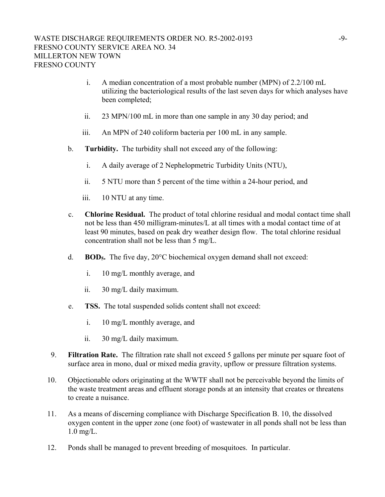- i. A median concentration of a most probable number (MPN) of 2.2/100 mL utilizing the bacteriological results of the last seven days for which analyses have been completed;
- ii. 23 MPN/100 mL in more than one sample in any 30 day period; and
- iii. An MPN of 240 coliform bacteria per 100 mL in any sample.
- b. **Turbidity.** The turbidity shall not exceed any of the following:
	- i. A daily average of 2 Nephelopmetric Turbidity Units (NTU),
	- ii. 5 NTU more than 5 percent of the time within a 24-hour period, and
	- iii. 10 NTU at any time.
- c. **Chlorine Residual.** The product of total chlorine residual and modal contact time shall not be less than 450 milligram-minutes/L at all times with a modal contact time of at least 90 minutes, based on peak dry weather design flow. The total chlorine residual concentration shall not be less than 5 mg/L.
- d. **BOD5.** The five day, 20°C biochemical oxygen demand shall not exceed:
	- i. 10 mg/L monthly average, and
	- ii. 30 mg/L daily maximum.
- e. **TSS.** The total suspended solids content shall not exceed:
	- i. 10 mg/L monthly average, and
	- ii. 30 mg/L daily maximum.
- 9. **Filtration Rate.** The filtration rate shall not exceed 5 gallons per minute per square foot of surface area in mono, dual or mixed media gravity, upflow or pressure filtration systems.
- 10. Objectionable odors originating at the WWTF shall not be perceivable beyond the limits of the waste treatment areas and effluent storage ponds at an intensity that creates or threatens to create a nuisance.
- 11. As a means of discerning compliance with Discharge Specification B. 10, the dissolved oxygen content in the upper zone (one foot) of wastewater in all ponds shall not be less than 1.0 mg/L.
- 12. Ponds shall be managed to prevent breeding of mosquitoes. In particular.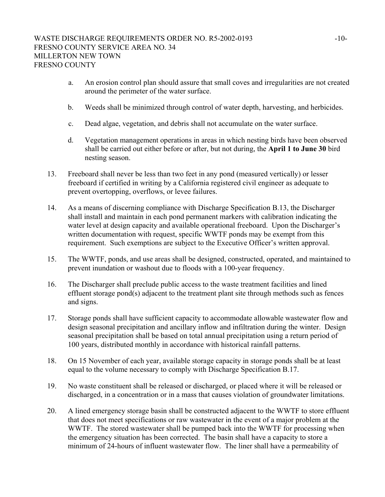- a. An erosion control plan should assure that small coves and irregularities are not created around the perimeter of the water surface.
- b. Weeds shall be minimized through control of water depth, harvesting, and herbicides.
- c. Dead algae, vegetation, and debris shall not accumulate on the water surface.
- d. Vegetation management operations in areas in which nesting birds have been observed shall be carried out either before or after, but not during, the **April 1 to June 30** bird nesting season.
- 13. Freeboard shall never be less than two feet in any pond (measured vertically) or lesser freeboard if certified in writing by a California registered civil engineer as adequate to prevent overtopping, overflows, or levee failures.
- 14. As a means of discerning compliance with Discharge Specification B.13, the Discharger shall install and maintain in each pond permanent markers with calibration indicating the water level at design capacity and available operational freeboard. Upon the Discharger's written documentation with request, specific WWTF ponds may be exempt from this requirement. Such exemptions are subject to the Executive Officer's written approval.
- 15. The WWTF, ponds, and use areas shall be designed, constructed, operated, and maintained to prevent inundation or washout due to floods with a 100-year frequency.
- 16. The Discharger shall preclude public access to the waste treatment facilities and lined effluent storage pond(s) adjacent to the treatment plant site through methods such as fences and signs.
- 17. Storage ponds shall have sufficient capacity to accommodate allowable wastewater flow and design seasonal precipitation and ancillary inflow and infiltration during the winter. Design seasonal precipitation shall be based on total annual precipitation using a return period of 100 years, distributed monthly in accordance with historical rainfall patterns.
- 18. On 15 November of each year, available storage capacity in storage ponds shall be at least equal to the volume necessary to comply with Discharge Specification B.17.
- 19. No waste constituent shall be released or discharged, or placed where it will be released or discharged, in a concentration or in a mass that causes violation of groundwater limitations.
- 20. A lined emergency storage basin shall be constructed adjacent to the WWTF to store effluent that does not meet specifications or raw wastewater in the event of a major problem at the WWTF. The stored wastewater shall be pumped back into the WWTF for processing when the emergency situation has been corrected. The basin shall have a capacity to store a minimum of 24-hours of influent wastewater flow. The liner shall have a permeability of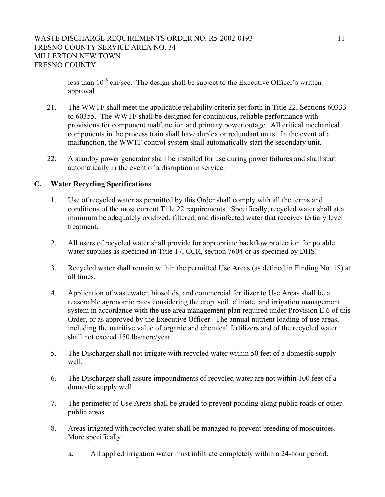less than  $10^{-6}$  cm/sec. The design shall be subject to the Executive Officer's written approval.

- 21. The WWTF shall meet the applicable reliability criteria set forth in Title 22, Sections 60333 to 60355. The WWTF shall be designed for continuous, reliable performance with provisions for component malfunction and primary power outage. All critical mechanical components in the process train shall have duplex or redundant units. In the event of a malfunction, the WWTF control system shall automatically start the secondary unit.
- 22. A standby power generator shall be installed for use during power failures and shall start automatically in the event of a disruption in service.

## **C. Water Recycling Specifications**

- 1. Use of recycled water as permitted by this Order shall comply with all the terms and conditions of the most current Title 22 requirements. Specifically, recycled water shall at a minimum be adequately oxidized, filtered, and disinfected water that receives tertiary level treatment.
- 2. All users of recycled water shall provide for appropriate backflow protection for potable water supplies as specified in Title 17, CCR, section 7604 or as specified by DHS.
- 3. Recycled water shall remain within the permitted Use Areas (as defined in Finding No. 18) at all times.
- 4. Application of wastewater, biosolids, and commercial fertilizer to Use Areas shall be at reasonable agronomic rates considering the crop, soil, climate, and irrigation management system in accordance with the use area management plan required under Provision E.6 of this Order, or as approved by the Executive Officer. The annual nutrient loading of use areas, including the nutritive value of organic and chemical fertilizers and of the recycled water shall not exceed 150 lbs/acre/year.
- 5. The Discharger shall not irrigate with recycled water within 50 feet of a domestic supply well.
- 6. The Discharger shall assure impoundments of recycled water are not within 100 feet of a domestic supply well.
- 7. The perimeter of Use Areas shall be graded to prevent ponding along public roads or other public areas.
- 8. Areas irrigated with recycled water shall be managed to prevent breeding of mosquitoes. More specifically:
	- a. All applied irrigation water must infiltrate completely within a 24-hour period.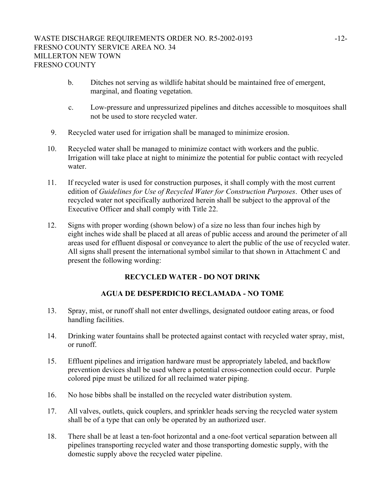- b. Ditches not serving as wildlife habitat should be maintained free of emergent, marginal, and floating vegetation.
- c. Low-pressure and unpressurized pipelines and ditches accessible to mosquitoes shall not be used to store recycled water.
- 9. Recycled water used for irrigation shall be managed to minimize erosion.
- 10. Recycled water shall be managed to minimize contact with workers and the public. Irrigation will take place at night to minimize the potential for public contact with recycled water.
- 11. If recycled water is used for construction purposes, it shall comply with the most current edition of *Guidelines for Use of Recycled Water for Construction Purposes*. Other uses of recycled water not specifically authorized herein shall be subject to the approval of the Executive Officer and shall comply with Title 22.
- 12. Signs with proper wording (shown below) of a size no less than four inches high by eight inches wide shall be placed at all areas of public access and around the perimeter of all areas used for effluent disposal or conveyance to alert the public of the use of recycled water. All signs shall present the international symbol similar to that shown in Attachment C and present the following wording:

## **RECYCLED WATER - DO NOT DRINK**

## **AGUA DE DESPERDICIO RECLAMADA - NO TOME**

- 13. Spray, mist, or runoff shall not enter dwellings, designated outdoor eating areas, or food handling facilities.
- 14. Drinking water fountains shall be protected against contact with recycled water spray, mist, or runoff.
- 15. Effluent pipelines and irrigation hardware must be appropriately labeled, and backflow prevention devices shall be used where a potential cross-connection could occur. Purple colored pipe must be utilized for all reclaimed water piping.
- 16. No hose bibbs shall be installed on the recycled water distribution system.
- 17. All valves, outlets, quick couplers, and sprinkler heads serving the recycled water system shall be of a type that can only be operated by an authorized user.
- 18. There shall be at least a ten-foot horizontal and a one-foot vertical separation between all pipelines transporting recycled water and those transporting domestic supply, with the domestic supply above the recycled water pipeline.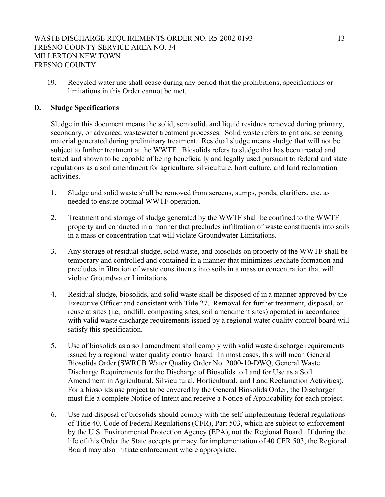19. Recycled water use shall cease during any period that the prohibitions, specifications or limitations in this Order cannot be met.

## **D. Sludge Specifications**

Sludge in this document means the solid, semisolid, and liquid residues removed during primary, secondary, or advanced wastewater treatment processes. Solid waste refers to grit and screening material generated during preliminary treatment. Residual sludge means sludge that will not be subject to further treatment at the WWTF. Biosolids refers to sludge that has been treated and tested and shown to be capable of being beneficially and legally used pursuant to federal and state regulations as a soil amendment for agriculture, silviculture, horticulture, and land reclamation activities.

- 1. Sludge and solid waste shall be removed from screens, sumps, ponds, clarifiers, etc. as needed to ensure optimal WWTF operation.
- 2. Treatment and storage of sludge generated by the WWTF shall be confined to the WWTF property and conducted in a manner that precludes infiltration of waste constituents into soils in a mass or concentration that will violate Groundwater Limitations.
- 3. Any storage of residual sludge, solid waste, and biosolids on property of the WWTF shall be temporary and controlled and contained in a manner that minimizes leachate formation and precludes infiltration of waste constituents into soils in a mass or concentration that will violate Groundwater Limitations.
- 4. Residual sludge, biosolids, and solid waste shall be disposed of in a manner approved by the Executive Officer and consistent with Title 27. Removal for further treatment, disposal, or reuse at sites (i.e, landfill, composting sites, soil amendment sites) operated in accordance with valid waste discharge requirements issued by a regional water quality control board will satisfy this specification.
- 5. Use of biosolids as a soil amendment shall comply with valid waste discharge requirements issued by a regional water quality control board. In most cases, this will mean General Biosolids Order (SWRCB Water Quality Order No. 2000-10-DWQ, General Waste Discharge Requirements for the Discharge of Biosolids to Land for Use as a Soil Amendment in Agricultural, Silvicultural, Horticultural, and Land Reclamation Activities). For a biosolids use project to be covered by the General Biosolids Order, the Discharger must file a complete Notice of Intent and receive a Notice of Applicability for each project.
- 6. Use and disposal of biosolids should comply with the self-implementing federal regulations of Title 40, Code of Federal Regulations (CFR), Part 503, which are subject to enforcement by the U.S. Environmental Protection Agency (EPA), not the Regional Board. If during the life of this Order the State accepts primacy for implementation of 40 CFR 503, the Regional Board may also initiate enforcement where appropriate.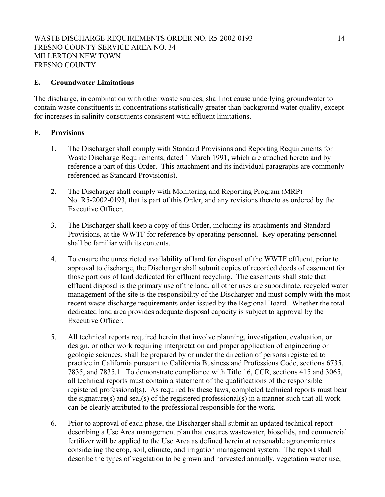#### **E. Groundwater Limitations**

The discharge, in combination with other waste sources, shall not cause underlying groundwater to contain waste constituents in concentrations statistically greater than background water quality, except for increases in salinity constituents consistent with effluent limitations.

## **F. Provisions**

- 1. The Discharger shall comply with Standard Provisions and Reporting Requirements for Waste Discharge Requirements, dated 1 March 1991, which are attached hereto and by reference a part of this Order. This attachment and its individual paragraphs are commonly referenced as Standard Provision(s).
- 2. The Discharger shall comply with Monitoring and Reporting Program (MRP) No. R5-2002-0193, that is part of this Order, and any revisions thereto as ordered by the Executive Officer.
- 3. The Discharger shall keep a copy of this Order, including its attachments and Standard Provisions, at the WWTF for reference by operating personnel. Key operating personnel shall be familiar with its contents.
- 4. To ensure the unrestricted availability of land for disposal of the WWTF effluent, prior to approval to discharge, the Discharger shall submit copies of recorded deeds of easement for those portions of land dedicated for effluent recycling. The easements shall state that effluent disposal is the primary use of the land, all other uses are subordinate, recycled water management of the site is the responsibility of the Discharger and must comply with the most recent waste discharge requirements order issued by the Regional Board. Whether the total dedicated land area provides adequate disposal capacity is subject to approval by the Executive Officer.
- 5. All technical reports required herein that involve planning, investigation, evaluation, or design, or other work requiring interpretation and proper application of engineering or geologic sciences, shall be prepared by or under the direction of persons registered to practice in California pursuant to California Business and Professions Code, sections 6735, 7835, and 7835.1. To demonstrate compliance with Title 16, CCR, sections 415 and 3065, all technical reports must contain a statement of the qualifications of the responsible registered professional(s). As required by these laws, completed technical reports must bear the signature(s) and seal(s) of the registered professional(s) in a manner such that all work can be clearly attributed to the professional responsible for the work.
- 6. Prior to approval of each phase, the Discharger shall submit an updated technical report describing a Use Area management plan that ensures wastewater, biosolids, and commercial fertilizer will be applied to the Use Area as defined herein at reasonable agronomic rates considering the crop, soil, climate, and irrigation management system. The report shall describe the types of vegetation to be grown and harvested annually, vegetation water use,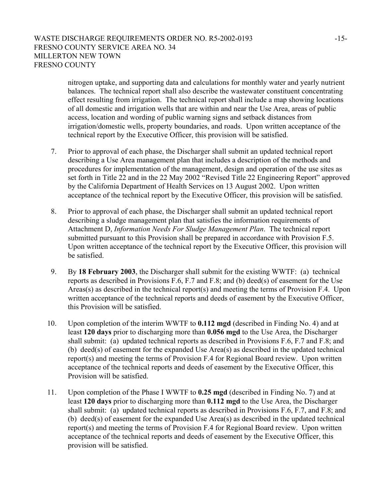## WASTE DISCHARGE REQUIREMENTS ORDER NO. R5-2002-0193 -15-FRESNO COUNTY SERVICE AREA NO. 34 MILLERTON NEW TOWN FRESNO COUNTY

nitrogen uptake, and supporting data and calculations for monthly water and yearly nutrient balances. The technical report shall also describe the wastewater constituent concentrating effect resulting from irrigation. The technical report shall include a map showing locations of all domestic and irrigation wells that are within and near the Use Area, areas of public access, location and wording of public warning signs and setback distances from irrigation/domestic wells, property boundaries, and roads. Upon written acceptance of the technical report by the Executive Officer, this provision will be satisfied.

- 7. Prior to approval of each phase, the Discharger shall submit an updated technical report describing a Use Area management plan that includes a description of the methods and procedures for implementation of the management, design and operation of the use sites as set forth in Title 22 and in the 22 May 2002 "Revised Title 22 Engineering Report" approved by the California Department of Health Services on 13 August 2002. Upon written acceptance of the technical report by the Executive Officer, this provision will be satisfied.
- 8. Prior to approval of each phase, the Discharger shall submit an updated technical report describing a sludge management plan that satisfies the information requirements of Attachment D, *Information Needs For Sludge Management Plan*. The technical report submitted pursuant to this Provision shall be prepared in accordance with Provision F.5. Upon written acceptance of the technical report by the Executive Officer, this provision will be satisfied.
- 9. By **18 February 2003**, the Discharger shall submit for the existing WWTF: (a) technical reports as described in Provisions F.6, F.7 and F.8; and (b) deed(s) of easement for the Use Areas(s) as described in the technical report(s) and meeting the terms of Provision F.4. Upon written acceptance of the technical reports and deeds of easement by the Executive Officer, this Provision will be satisfied.
- 10. Upon completion of the interim WWTF to **0.112 mgd** (described in Finding No. 4) and at least **120 days** prior to discharging more than **0.056 mgd** to the Use Area, the Discharger shall submit: (a) updated technical reports as described in Provisions F.6, F.7 and F.8; and (b) deed(s) of easement for the expanded Use Area(s) as described in the updated technical report(s) and meeting the terms of Provision F.4 for Regional Board review. Upon written acceptance of the technical reports and deeds of easement by the Executive Officer, this Provision will be satisfied.
- 11. Upon completion of the Phase I WWTF to **0.25 mgd** (described in Finding No. 7) and at least **120 days** prior to discharging more than **0.112 mgd** to the Use Area, the Discharger shall submit: (a) updated technical reports as described in Provisions F.6, F.7, and F.8; and (b) deed(s) of easement for the expanded Use Area(s) as described in the updated technical report(s) and meeting the terms of Provision F.4 for Regional Board review. Upon written acceptance of the technical reports and deeds of easement by the Executive Officer, this provision will be satisfied.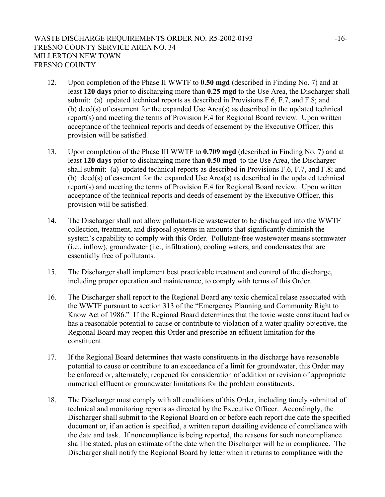- 12. Upon completion of the Phase II WWTF to **0.50 mgd** (described in Finding No. 7) and at least **120 days** prior to discharging more than **0.25 mgd** to the Use Area, the Discharger shall submit: (a) updated technical reports as described in Provisions F.6, F.7, and F.8; and (b) deed(s) of easement for the expanded Use Area(s) as described in the updated technical report(s) and meeting the terms of Provision F.4 for Regional Board review. Upon written acceptance of the technical reports and deeds of easement by the Executive Officer, this provision will be satisfied.
- 13. Upon completion of the Phase III WWTF to **0.709 mgd** (described in Finding No. 7) and at least **120 days** prior to discharging more than **0.50 mgd** to the Use Area, the Discharger shall submit: (a) updated technical reports as described in Provisions F.6, F.7, and F.8; and (b) deed(s) of easement for the expanded Use Area(s) as described in the updated technical report(s) and meeting the terms of Provision F.4 for Regional Board review. Upon written acceptance of the technical reports and deeds of easement by the Executive Officer, this provision will be satisfied.
- 14. The Discharger shall not allow pollutant-free wastewater to be discharged into the WWTF collection, treatment, and disposal systems in amounts that significantly diminish the system's capability to comply with this Order. Pollutant-free wastewater means stormwater (i.e., inflow), groundwater (i.e., infiltration), cooling waters, and condensates that are essentially free of pollutants.
- 15. The Discharger shall implement best practicable treatment and control of the discharge, including proper operation and maintenance, to comply with terms of this Order.
- 16. The Discharger shall report to the Regional Board any toxic chemical relase associated with the WWTF pursuant to section 313 of the "Emergency Planning and Community Right to Know Act of 1986." If the Regional Board determines that the toxic waste constituent had or has a reasonable potential to cause or contribute to violation of a water quality objective, the Regional Board may reopen this Order and prescribe an effluent limitation for the constituent.
- 17. If the Regional Board determines that waste constituents in the discharge have reasonable potential to cause or contribute to an exceedance of a limit for groundwater, this Order may be enforced or, alternately, reopened for consideration of addition or revision of appropriate numerical effluent or groundwater limitations for the problem constituents.
- 18. The Discharger must comply with all conditions of this Order, including timely submittal of technical and monitoring reports as directed by the Executive Officer. Accordingly, the Discharger shall submit to the Regional Board on or before each report due date the specified document or, if an action is specified, a written report detailing evidence of compliance with the date and task. If noncompliance is being reported, the reasons for such noncompliance shall be stated, plus an estimate of the date when the Discharger will be in compliance. The Discharger shall notify the Regional Board by letter when it returns to compliance with the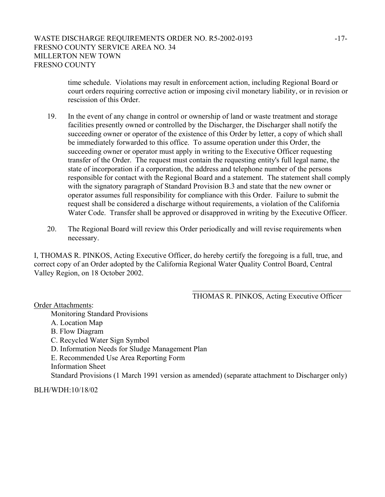time schedule. Violations may result in enforcement action, including Regional Board or court orders requiring corrective action or imposing civil monetary liability, or in revision or rescission of this Order.

- 19. In the event of any change in control or ownership of land or waste treatment and storage facilities presently owned or controlled by the Discharger, the Discharger shall notify the succeeding owner or operator of the existence of this Order by letter, a copy of which shall be immediately forwarded to this office. To assume operation under this Order, the succeeding owner or operator must apply in writing to the Executive Officer requesting transfer of the Order. The request must contain the requesting entity's full legal name, the state of incorporation if a corporation, the address and telephone number of the persons responsible for contact with the Regional Board and a statement. The statement shall comply with the signatory paragraph of Standard Provision B.3 and state that the new owner or operator assumes full responsibility for compliance with this Order. Failure to submit the request shall be considered a discharge without requirements, a violation of the California Water Code. Transfer shall be approved or disapproved in writing by the Executive Officer.
- 20. The Regional Board will review this Order periodically and will revise requirements when necessary.

I, THOMAS R. PINKOS, Acting Executive Officer, do hereby certify the foregoing is a full, true, and correct copy of an Order adopted by the California Regional Water Quality Control Board, Central Valley Region, on 18 October 2002.

THOMAS R. PINKOS, Acting Executive Officer

Order Attachments: Monitoring Standard Provisions A. Location Map B. Flow Diagram C. Recycled Water Sign Symbol D. Information Needs for Sludge Management Plan E. Recommended Use Area Reporting Form Information Sheet Standard Provisions (1 March 1991 version as amended) (separate attachment to Discharger only)

BLH/WDH:10/18/02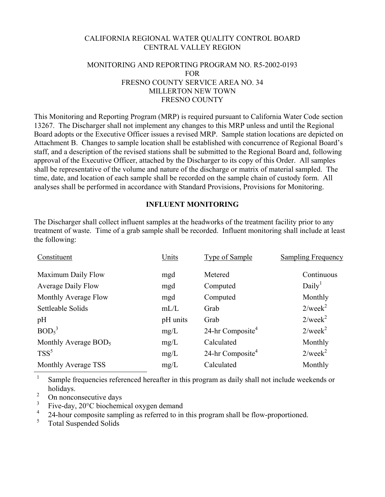## CALIFORNIA REGIONAL WATER QUALITY CONTROL BOARD CENTRAL VALLEY REGION

## MONITORING AND REPORTING PROGRAM NO. R5-2002-0193 FOR FRESNO COUNTY SERVICE AREA NO. 34 MILLERTON NEW TOWN FRESNO COUNTY

This Monitoring and Reporting Program (MRP) is required pursuant to California Water Code section 13267. The Discharger shall not implement any changes to this MRP unless and until the Regional Board adopts or the Executive Officer issues a revised MRP. Sample station locations are depicted on Attachment B. Changes to sample location shall be established with concurrence of Regional Board's staff, and a description of the revised stations shall be submitted to the Regional Board and, following approval of the Executive Officer, attached by the Discharger to its copy of this Order. All samples shall be representative of the volume and nature of the discharge or matrix of material sampled. The time, date, and location of each sample shall be recorded on the sample chain of custody form. All analyses shall be performed in accordance with Standard Provisions, Provisions for Monitoring.

## **INFLUENT MONITORING**

The Discharger shall collect influent samples at the headworks of the treatment facility prior to any treatment of waste. Time of a grab sample shall be recorded. Influent monitoring shall include at least the following:

| Constituent                      | Units    | <b>Type of Sample</b>        | <b>Sampling Frequency</b> |
|----------------------------------|----------|------------------------------|---------------------------|
| Maximum Daily Flow               | mgd      | Metered                      | Continuous                |
| <b>Average Daily Flow</b>        | mgd      | Computed                     | Daily <sup>1</sup>        |
| Monthly Average Flow             | mgd      | Computed                     | Monthly                   |
| Settleable Solids                | mL/L     | Grab                         | $2$ /week <sup>2</sup>    |
| pH                               | pH units | Grab                         | $2$ /week $^2$            |
| BOD <sub>5</sub> <sup>3</sup>    | mg/L     | 24-hr Composite <sup>4</sup> | $2$ /week $^2$            |
| Monthly Average BOD <sub>5</sub> | mg/L     | Calculated                   | Monthly                   |
| $TSS^5$                          | mg/L     | 24-hr Composite <sup>4</sup> | $2$ /week <sup>2</sup>    |
| Monthly Average TSS              | mg/L     | Calculated                   | Monthly                   |

<sup>1</sup> Sample frequencies referenced hereafter in this program as daily shall not include weekends or holidays.

 $\frac{2}{3}$  On nonconsecutive days

 $\frac{3}{4}$  Five-day, 20 $\degree$ C biochemical oxygen demand

<sup>4</sup> 24-hour composite sampling as referred to in this program shall be flow-proportioned.<br> $\frac{5}{2}$  Total Suggered Solids

<sup>5</sup> Total Suspended Solids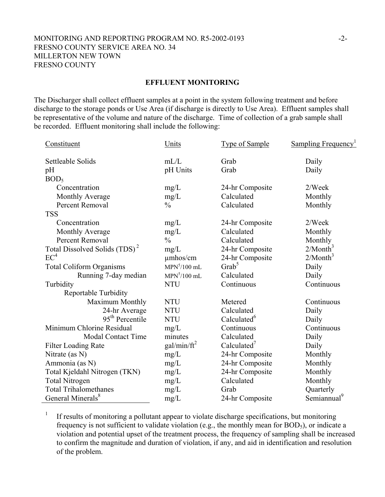#### MONITORING AND REPORTING PROGRAM NO. R5-2002-0193 -2- FRESNO COUNTY SERVICE AREA NO. 34 MILLERTON NEW TOWN FRESNO COUNTY

#### **EFFLUENT MONITORING**

The Discharger shall collect effluent samples at a point in the system following treatment and before discharge to the storage ponds or Use Area (if discharge is directly to Use Area). Effluent samples shall be representative of the volume and nature of the discharge. Time of collection of a grab sample shall be recorded. Effluent monitoring shall include the following:

| Constituent                               | Units          | <b>Type of Sample</b>   | <b>Sampling Frequency</b> |
|-------------------------------------------|----------------|-------------------------|---------------------------|
| Settleable Solids                         | mL/L           | Grab                    | Daily                     |
| pH                                        | pH Units       | Grab                    | Daily                     |
| BOD <sub>5</sub>                          |                |                         |                           |
| Concentration                             | mg/L           | 24-hr Composite         | 2/Week                    |
| Monthly Average                           | mg/L           | Calculated              | Monthly                   |
| Percent Removal                           | $\frac{0}{0}$  | Calculated              | Monthly                   |
| <b>TSS</b>                                |                |                         |                           |
| Concentration                             | mg/L           | 24-hr Composite         | 2/Week                    |
| Monthly Average                           | mg/L           | Calculated              | Monthly                   |
| Percent Removal                           | $\frac{0}{0}$  | Calculated              | Monthly                   |
| Total Dissolved Solids (TDS) <sup>2</sup> | mg/L           | 24-hr Composite         | 2/Month <sup>3</sup>      |
| $EC^4$                                    | $\mu$ mhos/cm  | 24-hr Composite         | $2/M$ onth <sup>3</sup>   |
| <b>Total Coliform Organisms</b>           | $MPN5/100$ mL  | $\text{Grab}^5$         | Daily                     |
| Running 7-day median                      | $MPN5/100$ mL  | Calculated              | Daily                     |
| Turbidity                                 | <b>NTU</b>     | Continuous              | Continuous                |
| Reportable Turbidity                      |                |                         |                           |
| Maximum Monthly                           | <b>NTU</b>     | Metered                 | Continuous                |
| 24-hr Average                             | <b>NTU</b>     | Calculated              | Daily                     |
| 95 <sup>th</sup> Percentile               | <b>NTU</b>     | Calculated <sup>6</sup> | Daily                     |
| Minimum Chlorine Residual                 | mg/L           | Continuous              | Continuous                |
| <b>Modal Contact Time</b>                 | minutes        | Calculated              | Daily                     |
| <b>Filter Loading Rate</b>                | $gal/min/ft^2$ | Calculated <sup>7</sup> | Daily                     |
| Nitrate (as N)                            | mg/L           | 24-hr Composite         | Monthly                   |
| Ammonia (as N)                            | mg/L           | 24-hr Composite         | Monthly                   |
| Total Kjeldahl Nitrogen (TKN)             | mg/L           | 24-hr Composite         | Monthly                   |
| <b>Total Nitrogen</b>                     | mg/L           | Calculated              | Monthly                   |
| <b>Total Trihalomethanes</b>              | mg/L           | Grab                    | Quarterly                 |
| General Minerals <sup>8</sup>             | mg/L           | 24-hr Composite         | Semiannual <sup>9</sup>   |

<sup>1</sup> If results of monitoring a pollutant appear to violate discharge specifications, but monitoring frequency is not sufficient to validate violation (e.g., the monthly mean for  $BOD<sub>5</sub>$ ), or indicate a violation and potential upset of the treatment process, the frequency of sampling shall be increased to confirm the magnitude and duration of violation, if any, and aid in identification and resolution of the problem.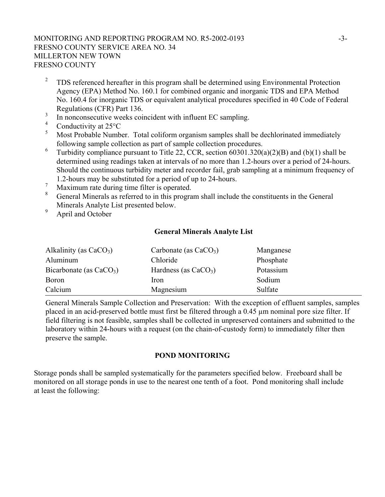## MONITORING AND REPORTING PROGRAM NO. R5-2002-0193 -3- FRESNO COUNTY SERVICE AREA NO. 34 MILLERTON NEW TOWN FRESNO COUNTY

- <sup>2</sup> TDS referenced hereafter in this program shall be determined using Environmental Protection Agency (EPA) Method No. 160.1 for combined organic and inorganic TDS and EPA Method No. 160.4 for inorganic TDS or equivalent analytical procedures specified in 40 Code of Federal Regulations (CFR) Part 136.
- $\frac{3}{4}$  In nonconsecutive weeks coincident with influent EC sampling.
- $^{4}$  Conductivity at 25 $^{\circ}$ C
- <sup>5</sup> Most Probable Number. Total coliform organism samples shall be dechlorinated immediately following sample collection as part of sample collection procedures.
- <sup>6</sup> Turbidity compliance pursuant to Title 22, CCR, section  $60301.320(a)(2)(B)$  and (b)(1) shall be determined using readings taken at intervals of no more than 1.2-hours over a period of 24-hours. Should the continuous turbidity meter and recorder fail, grab sampling at a minimum frequency of 1.2-hours may be substituted for a period of up to 24-hours.
- $\frac{7}{8}$  Maximum rate during time filter is operated.
- <sup>8</sup> General Minerals as referred to in this program shall include the constituents in the General Minerals Analyte List presented below.
- <sup>9</sup> April and October

#### **General Minerals Analyte List**

| Alkalinity (as $CaCO3$ )  | Carbonate (as $CaCO3$ ) | Manganese |
|---------------------------|-------------------------|-----------|
| Aluminum                  | Chloride                | Phosphate |
| Bicarbonate (as $CaCO3$ ) | Hardness (as $CaCO3$ )  | Potassium |
| <b>Boron</b>              | <i>Iron</i>             | Sodium    |
| Calcium                   | Magnesium               | Sulfate   |

General Minerals Sample Collection and Preservation: With the exception of effluent samples, samples placed in an acid-preserved bottle must first be filtered through a 0.45 µm nominal pore size filter. If field filtering is not feasible, samples shall be collected in unpreserved containers and submitted to the laboratory within 24-hours with a request (on the chain-of-custody form) to immediately filter then preserve the sample.

## **POND MONITORING**

Storage ponds shall be sampled systematically for the parameters specified below. Freeboard shall be monitored on all storage ponds in use to the nearest one tenth of a foot. Pond monitoring shall include at least the following: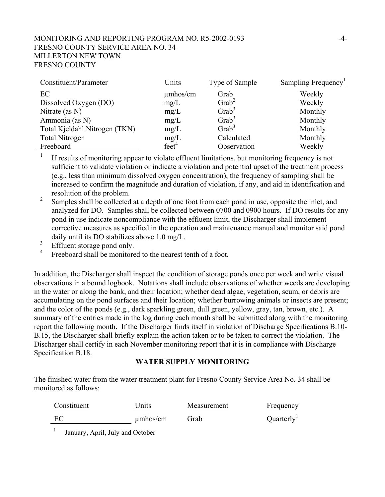## MONITORING AND REPORTING PROGRAM NO. R5-2002-0193 -4- FRESNO COUNTY SERVICE AREA NO. 34 MILLERTON NEW TOWN FRESNO COUNTY

| Constituent/Parameter         | Units             | Type of Sample    | Sampling Frequency <sup>1</sup> |
|-------------------------------|-------------------|-------------------|---------------------------------|
| EC                            | $\mu$ mhos/cm     | Grab              | Weekly                          |
| Dissolved Oxygen (DO)         | mg/L              | $\text{Grab}^2$   | Weekly                          |
| Nitrate (as $N$ )             | mg/L              | Grab <sup>3</sup> | Monthly                         |
| Ammonia (as N)                | mg/L              | Grab <sup>3</sup> | Monthly                         |
| Total Kjeldahl Nitrogen (TKN) | mg/L              | $\text{Grab}^3$   | Monthly                         |
| <b>Total Nitrogen</b>         | mg/L              | Calculated        | Monthly                         |
| Freeboard                     | feet <sup>4</sup> | Observation       | Weekly                          |

<sup>1</sup> If results of monitoring appear to violate effluent limitations, but monitoring frequency is not sufficient to validate violation or indicate a violation and potential upset of the treatment process (e.g., less than minimum dissolved oxygen concentration), the frequency of sampling shall be increased to confirm the magnitude and duration of violation, if any, and aid in identification and resolution of the problem.

- 2 Samples shall be collected at a depth of one foot from each pond in use, opposite the inlet, and analyzed for DO. Samples shall be collected between 0700 and 0900 hours. If DO results for any pond in use indicate noncompliance with the effluent limit, the Discharger shall implement corrective measures as specified in the operation and maintenance manual and monitor said pond daily until its DO stabilizes above 1.0 mg/L.
- 3 Effluent storage pond only.
- 4 Freeboard shall be monitored to the nearest tenth of a foot.

In addition, the Discharger shall inspect the condition of storage ponds once per week and write visual observations in a bound logbook. Notations shall include observations of whether weeds are developing in the water or along the bank, and their location; whether dead algae, vegetation, scum, or debris are accumulating on the pond surfaces and their location; whether burrowing animals or insects are present; and the color of the ponds (e.g., dark sparkling green, dull green, yellow, gray, tan, brown, etc.). A summary of the entries made in the log during each month shall be submitted along with the monitoring report the following month. If the Discharger finds itself in violation of Discharge Specifications B.10- B.15, the Discharger shall briefly explain the action taken or to be taken to correct the violation. The Discharger shall certify in each November monitoring report that it is in compliance with Discharge Specification B.18.

#### **WATER SUPPLY MONITORING**

The finished water from the water treatment plant for Fresno County Service Area No. 34 shall be monitored as follows:

| Constituent | Units         | Measurement | Frequency              |
|-------------|---------------|-------------|------------------------|
| EC          | $\mu$ mhos/cm | Grab        | Quarterly <sup>1</sup> |

<sup>1</sup> January, April, July and October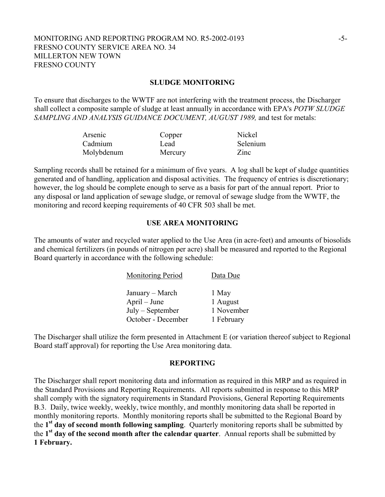## MONITORING AND REPORTING PROGRAM NO. R5-2002-0193 -5- FRESNO COUNTY SERVICE AREA NO. 34 MILLERTON NEW TOWN FRESNO COUNTY

#### **SLUDGE MONITORING**

To ensure that discharges to the WWTF are not interfering with the treatment process, the Discharger shall collect a composite sample of sludge at least annually in accordance with EPA's *POTW SLUDGE SAMPLING AND ANALYSIS GUIDANCE DOCUMENT, AUGUST 1989,* and test for metals:

| Arsenic    | Copper  | Nickel   |
|------------|---------|----------|
| Cadmium    | Lead    | Selenium |
| Molybdenum | Mercury | Zinc     |

Sampling records shall be retained for a minimum of five years. A log shall be kept of sludge quantities generated and of handling, application and disposal activities. The frequency of entries is discretionary; however, the log should be complete enough to serve as a basis for part of the annual report. Prior to any disposal or land application of sewage sludge, or removal of sewage sludge from the WWTF, the monitoring and record keeping requirements of 40 CFR 503 shall be met.

#### **USE AREA MONITORING**

The amounts of water and recycled water applied to the Use Area (in acre-feet) and amounts of biosolids and chemical fertilizers (in pounds of nitrogen per acre) shall be measured and reported to the Regional Board quarterly in accordance with the following schedule:

| Monitoring Period  | Data Due   |
|--------------------|------------|
| January – March    | 1 May      |
| April – June       | 1 August   |
| $July - September$ | 1 November |
| October - December | 1 February |

The Discharger shall utilize the form presented in Attachment E (or variation thereof subject to Regional Board staff approval) for reporting the Use Area monitoring data.

#### **REPORTING**

The Discharger shall report monitoring data and information as required in this MRP and as required in the Standard Provisions and Reporting Requirements. All reports submitted in response to this MRP shall comply with the signatory requirements in Standard Provisions, General Reporting Requirements B.3. Daily, twice weekly, weekly, twice monthly, and monthly monitoring data shall be reported in monthly monitoring reports. Monthly monitoring reports shall be submitted to the Regional Board by the **1st day of second month following sampling**. Quarterly monitoring reports shall be submitted by the **1st day of the second month after the calendar quarter**. Annual reports shall be submitted by **1 February.**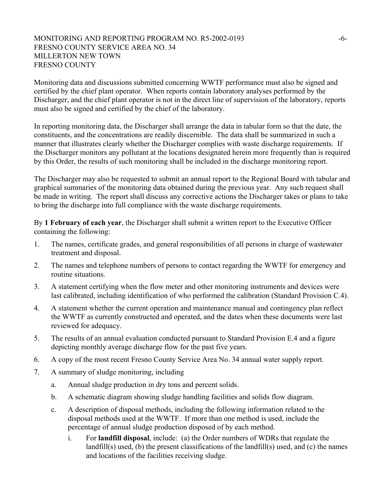## MONITORING AND REPORTING PROGRAM NO. R5-2002-0193 -6- FRESNO COUNTY SERVICE AREA NO. 34 MILLERTON NEW TOWN FRESNO COUNTY

Monitoring data and discussions submitted concerning WWTF performance must also be signed and certified by the chief plant operator. When reports contain laboratory analyses performed by the Discharger, and the chief plant operator is not in the direct line of supervision of the laboratory, reports must also be signed and certified by the chief of the laboratory.

In reporting monitoring data, the Discharger shall arrange the data in tabular form so that the date, the constituents, and the concentrations are readily discernible. The data shall be summarized in such a manner that illustrates clearly whether the Discharger complies with waste discharge requirements. If the Discharger monitors any pollutant at the locations designated herein more frequently than is required by this Order, the results of such monitoring shall be included in the discharge monitoring report.

The Discharger may also be requested to submit an annual report to the Regional Board with tabular and graphical summaries of the monitoring data obtained during the previous year. Any such request shall be made in writing. The report shall discuss any corrective actions the Discharger takes or plans to take to bring the discharge into full compliance with the waste discharge requirements.

By **1 February of each year**, the Discharger shall submit a written report to the Executive Officer containing the following:

- 1. The names, certificate grades, and general responsibilities of all persons in charge of wastewater treatment and disposal.
- 2. The names and telephone numbers of persons to contact regarding the WWTF for emergency and routine situations.
- 3. A statement certifying when the flow meter and other monitoring instruments and devices were last calibrated, including identification of who performed the calibration (Standard Provision C.4).
- 4. A statement whether the current operation and maintenance manual and contingency plan reflect the WWTF as currently constructed and operated, and the dates when these documents were last reviewed for adequacy.
- 5. The results of an annual evaluation conducted pursuant to Standard Provision E.4 and a figure depicting monthly average discharge flow for the past five years.
- 6. A copy of the most recent Fresno County Service Area No. 34 annual water supply report.
- 7. A summary of sludge monitoring, including
	- a. Annual sludge production in dry tons and percent solids.
	- b. A schematic diagram showing sludge handling facilities and solids flow diagram.
	- c. A description of disposal methods, including the following information related to the disposal methods used at the WWTF. If more than one method is used, include the percentage of annual sludge production disposed of by each method.
		- i. For **landfill disposal**, include: (a) the Order numbers of WDRs that regulate the landfill(s) used, (b) the present classifications of the landfill(s) used, and (c) the names and locations of the facilities receiving sludge.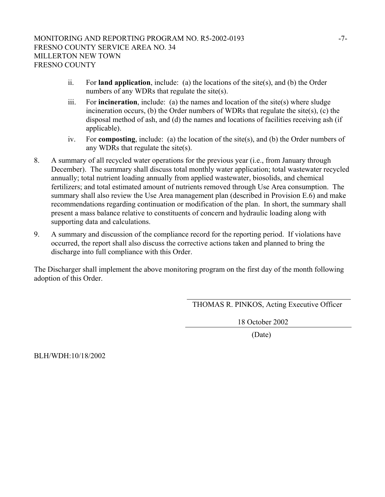- ii. For **land application**, include: (a) the locations of the site(s), and (b) the Order numbers of any WDRs that regulate the site(s).
- iii. For **incineration**, include: (a) the names and location of the site(s) where sludge incineration occurs, (b) the Order numbers of WDRs that regulate the site(s), (c) the disposal method of ash, and (d) the names and locations of facilities receiving ash (if applicable).
- iv. For **composting**, include: (a) the location of the site(s), and (b) the Order numbers of any WDRs that regulate the site(s).
- 8. A summary of all recycled water operations for the previous year (i.e., from January through December). The summary shall discuss total monthly water application; total wastewater recycled annually; total nutrient loading annually from applied wastewater, biosolids, and chemical fertilizers; and total estimated amount of nutrients removed through Use Area consumption. The summary shall also review the Use Area management plan (described in Provision E.6) and make recommendations regarding continuation or modification of the plan. In short, the summary shall present a mass balance relative to constituents of concern and hydraulic loading along with supporting data and calculations.
- 9. A summary and discussion of the compliance record for the reporting period. If violations have occurred, the report shall also discuss the corrective actions taken and planned to bring the discharge into full compliance with this Order.

The Discharger shall implement the above monitoring program on the first day of the month following adoption of this Order.

THOMAS R. PINKOS, Acting Executive Officer

18 October 2002

(Date)

BLH/WDH:10/18/2002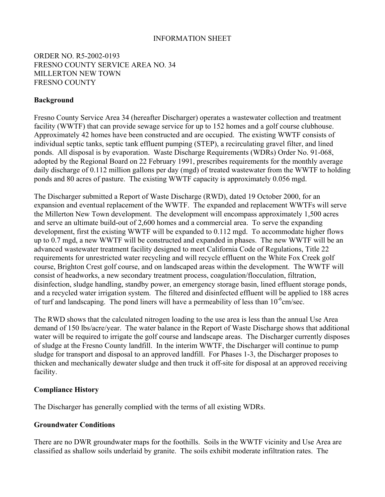#### INFORMATION SHEET

## ORDER NO. R5-2002-0193 FRESNO COUNTY SERVICE AREA NO. 34 MILLERTON NEW TOWN FRESNO COUNTY

## **Background**

Fresno County Service Area 34 (hereafter Discharger) operates a wastewater collection and treatment facility (WWTF) that can provide sewage service for up to 152 homes and a golf course clubhouse. Approximately 42 homes have been constructed and are occupied. The existing WWTF consists of individual septic tanks, septic tank effluent pumping (STEP), a recirculating gravel filter, and lined ponds. All disposal is by evaporation. Waste Discharge Requirements (WDRs) Order No. 91-068, adopted by the Regional Board on 22 February 1991, prescribes requirements for the monthly average daily discharge of 0.112 million gallons per day (mgd) of treated wastewater from the WWTF to holding ponds and 80 acres of pasture. The existing WWTF capacity is approximately 0.056 mgd.

The Discharger submitted a Report of Waste Discharge (RWD), dated 19 October 2000, for an expansion and eventual replacement of the WWTF. The expanded and replacement WWTFs will serve the Millerton New Town development. The development will encompass approximately 1,500 acres and serve an ultimate build-out of 2,600 homes and a commercial area. To serve the expanding development, first the existing WWTF will be expanded to 0.112 mgd. To accommodate higher flows up to 0.7 mgd, a new WWTF will be constructed and expanded in phases. The new WWTF will be an advanced wastewater treatment facility designed to meet California Code of Regulations, Title 22 requirements for unrestricted water recycling and will recycle effluent on the White Fox Creek golf course, Brighton Crest golf course, and on landscaped areas within the development. The WWTF will consist of headworks, a new secondary treatment process, coagulation/flocculation, filtration, disinfection, sludge handling, standby power, an emergency storage basin, lined effluent storage ponds, and a recycled water irrigation system. The filtered and disinfected effluent will be applied to 188 acres of turf and landscaping. The pond liners will have a permeability of less than  $10^{-6}$ cm/sec.

The RWD shows that the calculated nitrogen loading to the use area is less than the annual Use Area demand of 150 lbs/acre/year. The water balance in the Report of Waste Discharge shows that additional water will be required to irrigate the golf course and landscape areas. The Discharger currently disposes of sludge at the Fresno County landfill. In the interim WWTF, the Discharger will continue to pump sludge for transport and disposal to an approved landfill. For Phases 1-3, the Discharger proposes to thicken and mechanically dewater sludge and then truck it off-site for disposal at an approved receiving facility.

#### **Compliance History**

The Discharger has generally complied with the terms of all existing WDRs.

#### **Groundwater Conditions**

There are no DWR groundwater maps for the foothills. Soils in the WWTF vicinity and Use Area are classified as shallow soils underlaid by granite. The soils exhibit moderate infiltration rates. The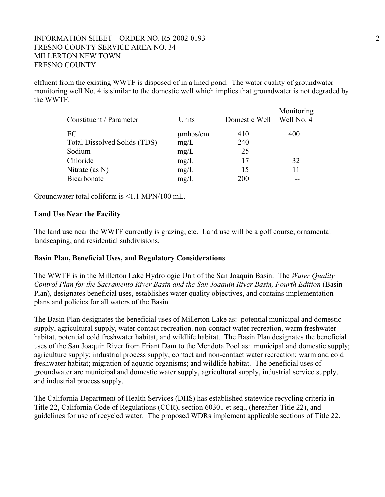## INFORMATION SHEET – ORDER NO. R5-2002-0193 -2- FRESNO COUNTY SERVICE AREA NO. 34 MILLERTON NEW TOWN FRESNO COUNTY

effluent from the existing WWTF is disposed of in a lined pond. The water quality of groundwater monitoring well No. 4 is similar to the domestic well which implies that groundwater is not degraded by the WWTF.

| Constituent / Parameter      | Units         | Domestic Well | Monitoring<br>Well No. 4 |
|------------------------------|---------------|---------------|--------------------------|
| EC                           | $\mu$ mhos/cm | 410           | 400                      |
| Total Dissolved Solids (TDS) | mg/L          | 240           |                          |
| Sodium                       | mg/L          | 25            |                          |
| Chloride                     | mg/L          | 17            | 32                       |
| Nitrate (as $N$ )            | mg/L          | 15            | 11                       |
| Bicarbonate                  | mg/L          | 200           |                          |

Groundwater total coliform is <1.1 MPN/100 mL.

#### **Land Use Near the Facility**

The land use near the WWTF currently is grazing, etc. Land use will be a golf course, ornamental landscaping, and residential subdivisions.

#### **Basin Plan, Beneficial Uses, and Regulatory Considerations**

The WWTF is in the Millerton Lake Hydrologic Unit of the San Joaquin Basin. The *Water Quality Control Plan for the Sacramento River Basin and the San Joaquin River Basin, Fourth Edition* (Basin Plan), designates beneficial uses, establishes water quality objectives, and contains implementation plans and policies for all waters of the Basin.

The Basin Plan designates the beneficial uses of Millerton Lake as: potential municipal and domestic supply, agricultural supply, water contact recreation, non-contact water recreation, warm freshwater habitat, potential cold freshwater habitat, and wildlife habitat. The Basin Plan designates the beneficial uses of the San Joaquin River from Friant Dam to the Mendota Pool as: municipal and domestic supply; agriculture supply; industrial process supply; contact and non-contact water recreation; warm and cold freshwater habitat; migration of aquatic organisms; and wildlife habitat. The beneficial uses of groundwater are municipal and domestic water supply, agricultural supply, industrial service supply, and industrial process supply.

The California Department of Health Services (DHS) has established statewide recycling criteria in Title 22, California Code of Regulations (CCR), section 60301 et seq., (hereafter Title 22), and guidelines for use of recycled water. The proposed WDRs implement applicable sections of Title 22.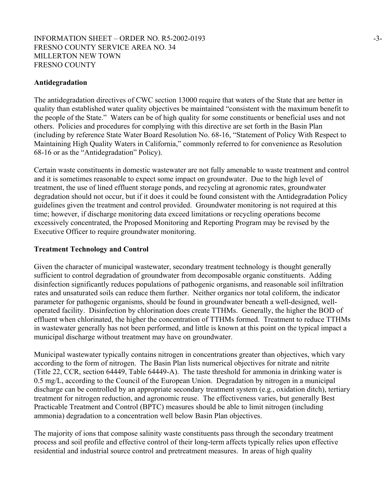## INFORMATION SHEET – ORDER NO. R5-2002-0193 -3- FRESNO COUNTY SERVICE AREA NO. 34 MILLERTON NEW TOWN FRESNO COUNTY

### **Antidegradation**

The antidegradation directives of CWC section 13000 require that waters of the State that are better in quality than established water quality objectives be maintained "consistent with the maximum benefit to the people of the State." Waters can be of high quality for some constituents or beneficial uses and not others. Policies and procedures for complying with this directive are set forth in the Basin Plan (including by reference State Water Board Resolution No. 68-16, "Statement of Policy With Respect to Maintaining High Quality Waters in California," commonly referred to for convenience as Resolution 68-16 or as the "Antidegradation" Policy).

Certain waste constituents in domestic wastewater are not fully amenable to waste treatment and control and it is sometimes reasonable to expect some impact on groundwater. Due to the high level of treatment, the use of lined effluent storage ponds, and recycling at agronomic rates, groundwater degradation should not occur, but if it does it could be found consistent with the Antidegradation Policy guidelines given the treatment and control provided. Groundwater monitoring is not required at this time; however, if discharge monitoring data exceed limitations or recycling operations become excessively concentrated, the Proposed Monitoring and Reporting Program may be revised by the Executive Officer to require groundwater monitoring.

#### **Treatment Technology and Control**

Given the character of municipal wastewater, secondary treatment technology is thought generally sufficient to control degradation of groundwater from decomposable organic constituents. Adding disinfection significantly reduces populations of pathogenic organisms, and reasonable soil infiltration rates and unsaturated soils can reduce them further. Neither organics nor total coliform, the indicator parameter for pathogenic organisms, should be found in groundwater beneath a well-designed, welloperated facility. Disinfection by chlorination does create TTHMs. Generally, the higher the BOD of effluent when chlorinated, the higher the concentration of TTHMs formed. Treatment to reduce TTHMs in wastewater generally has not been performed, and little is known at this point on the typical impact a municipal discharge without treatment may have on groundwater.

Municipal wastewater typically contains nitrogen in concentrations greater than objectives, which vary according to the form of nitrogen. The Basin Plan lists numerical objectives for nitrate and nitrite (Title 22, CCR, section 64449, Table 64449-A). The taste threshold for ammonia in drinking water is 0.5 mg/L, according to the Council of the European Union. Degradation by nitrogen in a municipal discharge can be controlled by an appropriate secondary treatment system (e.g., oxidation ditch), tertiary treatment for nitrogen reduction, and agronomic reuse. The effectiveness varies, but generally Best Practicable Treatment and Control (BPTC) measures should be able to limit nitrogen (including ammonia) degradation to a concentration well below Basin Plan objectives.

The majority of ions that compose salinity waste constituents pass through the secondary treatment process and soil profile and effective control of their long-term affects typically relies upon effective residential and industrial source control and pretreatment measures. In areas of high quality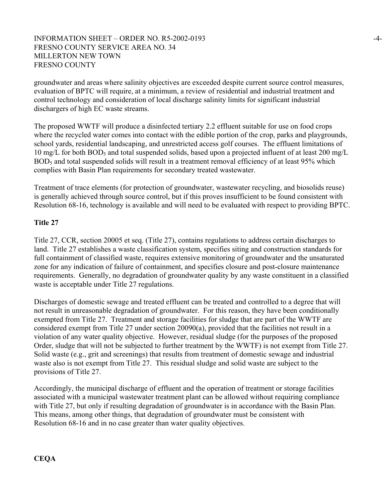## INFORMATION SHEET – ORDER NO. R5-2002-0193 -4- FRESNO COUNTY SERVICE AREA NO. 34 MILLERTON NEW TOWN FRESNO COUNTY

groundwater and areas where salinity objectives are exceeded despite current source control measures, evaluation of BPTC will require, at a minimum, a review of residential and industrial treatment and control technology and consideration of local discharge salinity limits for significant industrial dischargers of high EC waste streams.

The proposed WWTF will produce a disinfected tertiary 2.2 effluent suitable for use on food crops where the recycled water comes into contact with the edible portion of the crop, parks and playgrounds, school yards, residential landscaping, and unrestricted access golf courses. The effluent limitations of 10 mg/L for both BOD<sub>5</sub> and total suspended solids, based upon a projected influent of at least 200 mg/L BOD<sub>5</sub> and total suspended solids will result in a treatment removal efficiency of at least 95% which complies with Basin Plan requirements for secondary treated wastewater.

Treatment of trace elements (for protection of groundwater, wastewater recycling, and biosolids reuse) is generally achieved through source control, but if this proves insufficient to be found consistent with Resolution 68-16, technology is available and will need to be evaluated with respect to providing BPTC.

## **Title 27**

Title 27, CCR, section 20005 et seq. (Title 27), contains regulations to address certain discharges to land. Title 27 establishes a waste classification system, specifies siting and construction standards for full containment of classified waste, requires extensive monitoring of groundwater and the unsaturated zone for any indication of failure of containment, and specifies closure and post-closure maintenance requirements. Generally, no degradation of groundwater quality by any waste constituent in a classified waste is acceptable under Title 27 regulations.

Discharges of domestic sewage and treated effluent can be treated and controlled to a degree that will not result in unreasonable degradation of groundwater. For this reason, they have been conditionally exempted from Title 27. Treatment and storage facilities for sludge that are part of the WWTF are considered exempt from Title 27 under section 20090(a), provided that the facilities not result in a violation of any water quality objective. However, residual sludge (for the purposes of the proposed Order, sludge that will not be subjected to further treatment by the WWTF) is not exempt from Title 27. Solid waste (e.g., grit and screenings) that results from treatment of domestic sewage and industrial waste also is not exempt from Title 27. This residual sludge and solid waste are subject to the provisions of Title 27.

Accordingly, the municipal discharge of effluent and the operation of treatment or storage facilities associated with a municipal wastewater treatment plant can be allowed without requiring compliance with Title 27, but only if resulting degradation of groundwater is in accordance with the Basin Plan. This means, among other things, that degradation of groundwater must be consistent with Resolution 68-16 and in no case greater than water quality objectives.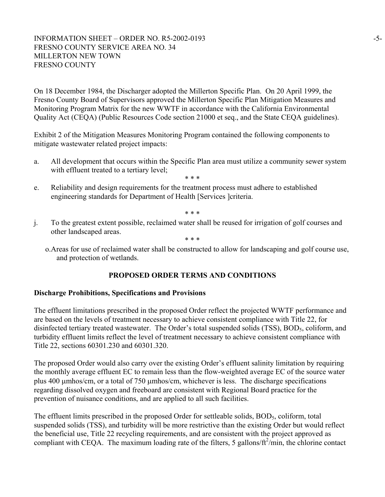## INFORMATION SHEET – ORDER NO. R5-2002-0193 -5-FRESNO COUNTY SERVICE AREA NO. 34 MILLERTON NEW TOWN FRESNO COUNTY

On 18 December 1984, the Discharger adopted the Millerton Specific Plan. On 20 April 1999, the Fresno County Board of Supervisors approved the Millerton Specific Plan Mitigation Measures and Monitoring Program Matrix for the new WWTF in accordance with the California Environmental Quality Act (CEQA) (Public Resources Code section 21000 et seq., and the State CEQA guidelines).

Exhibit 2 of the Mitigation Measures Monitoring Program contained the following components to mitigate wastewater related project impacts:

- a. All development that occurs within the Specific Plan area must utilize a community sewer system with effluent treated to a tertiary level;
	- \* \* \*
- e. Reliability and design requirements for the treatment process must adhere to established engineering standards for Department of Health [Services ]criteria.

\* \* \*

j. To the greatest extent possible, reclaimed water shall be reused for irrigation of golf courses and other landscaped areas.

\* \* \*

o.Areas for use of reclaimed water shall be constructed to allow for landscaping and golf course use, and protection of wetlands.

# **PROPOSED ORDER TERMS AND CONDITIONS**

# **Discharge Prohibitions, Specifications and Provisions**

The effluent limitations prescribed in the proposed Order reflect the projected WWTF performance and are based on the levels of treatment necessary to achieve consistent compliance with Title 22, for disinfected tertiary treated wastewater. The Order's total suspended solids (TSS), BOD<sub>5</sub>, coliform, and turbidity effluent limits reflect the level of treatment necessary to achieve consistent compliance with Title 22, sections 60301.230 and 60301.320.

The proposed Order would also carry over the existing Order's effluent salinity limitation by requiring the monthly average effluent EC to remain less than the flow-weighted average EC of the source water plus 400 µmhos/cm, or a total of 750 µmhos/cm, whichever is less. The discharge specifications regarding dissolved oxygen and freeboard are consistent with Regional Board practice for the prevention of nuisance conditions, and are applied to all such facilities.

The effluent limits prescribed in the proposed Order for settleable solids,  $BOD<sub>5</sub>$ , coliform, total suspended solids (TSS), and turbidity will be more restrictive than the existing Order but would reflect the beneficial use, Title 22 recycling requirements, and are consistent with the project approved as compliant with CEQA. The maximum loading rate of the filters, 5 gallons/ $ft^2$ /min, the chlorine contact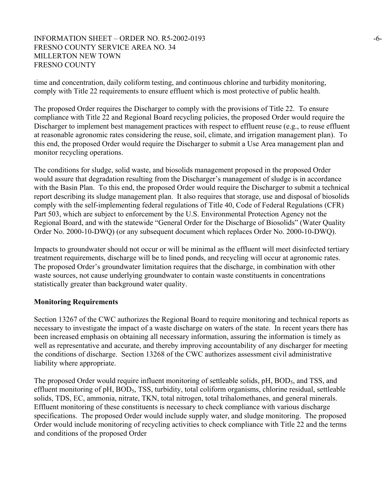## INFORMATION SHEET – ORDER NO. R5-2002-0193 -6- FRESNO COUNTY SERVICE AREA NO. 34 MILLERTON NEW TOWN FRESNO COUNTY

time and concentration, daily coliform testing, and continuous chlorine and turbidity monitoring, comply with Title 22 requirements to ensure effluent which is most protective of public health.

The proposed Order requires the Discharger to comply with the provisions of Title 22. To ensure compliance with Title 22 and Regional Board recycling policies, the proposed Order would require the Discharger to implement best management practices with respect to effluent reuse (e.g., to reuse effluent at reasonable agronomic rates considering the reuse, soil, climate, and irrigation management plan). To this end, the proposed Order would require the Discharger to submit a Use Area management plan and monitor recycling operations.

The conditions for sludge, solid waste, and biosolids management proposed in the proposed Order would assure that degradation resulting from the Discharger's management of sludge is in accordance with the Basin Plan. To this end, the proposed Order would require the Discharger to submit a technical report describing its sludge management plan. It also requires that storage, use and disposal of biosolids comply with the self-implementing federal regulations of Title 40, Code of Federal Regulations (CFR) Part 503, which are subject to enforcement by the U.S. Environmental Protection Agency not the Regional Board, and with the statewide "General Order for the Discharge of Biosolids" (Water Quality Order No. 2000-10-DWQ) (or any subsequent document which replaces Order No. 2000-10-DWQ).

Impacts to groundwater should not occur or will be minimal as the effluent will meet disinfected tertiary treatment requirements, discharge will be to lined ponds, and recycling will occur at agronomic rates. The proposed Order's groundwater limitation requires that the discharge, in combination with other waste sources, not cause underlying groundwater to contain waste constituents in concentrations statistically greater than background water quality.

#### **Monitoring Requirements**

Section 13267 of the CWC authorizes the Regional Board to require monitoring and technical reports as necessary to investigate the impact of a waste discharge on waters of the state. In recent years there has been increased emphasis on obtaining all necessary information, assuring the information is timely as well as representative and accurate, and thereby improving accountability of any discharger for meeting the conditions of discharge. Section 13268 of the CWC authorizes assessment civil administrative liability where appropriate.

The proposed Order would require influent monitoring of settleable solids,  $pH$ ,  $BOD<sub>5</sub>$ , and TSS, and effluent monitoring of pH, BOD<sub>5</sub>, TSS, turbidity, total coliform organisms, chlorine residual, settleable solids, TDS, EC, ammonia, nitrate, TKN, total nitrogen, total trihalomethanes, and general minerals. Effluent monitoring of these constituents is necessary to check compliance with various discharge specifications. The proposed Order would include supply water, and sludge monitoring. The proposed Order would include monitoring of recycling activities to check compliance with Title 22 and the terms and conditions of the proposed Order